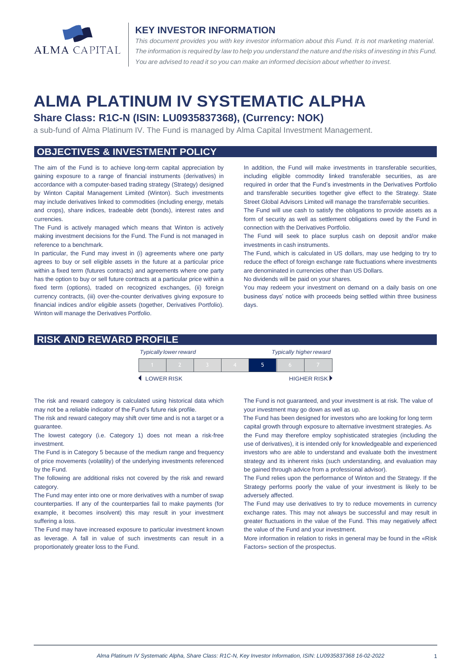

#### **KEY INVESTOR INFORMATION**

*This document provides you with key investor information about this Fund. It is not marketing material.*  The information is required by law to help you understand the nature and the risks of investing in this Fund. *You are advised to read it so you can make an informed decision about whether to invest.*

# **ALMA PLATINUM IV SYSTEMATIC ALPHA**

# **Share Class: R1C-N (ISIN: LU0935837368), (Currency: NOK)**

a sub-fund of Alma Platinum IV. The Fund is managed by Alma Capital Investment Management.

# **OBJECTIVES & INVESTMENT POLICY**

The aim of the Fund is to achieve long-term capital appreciation by gaining exposure to a range of financial instruments (derivatives) in accordance with a computer-based trading strategy (Strategy) designed by Winton Capital Management Limited (Winton). Such investments may include derivatives linked to commodities (including energy, metals and crops), share indices, tradeable debt (bonds), interest rates and currencies.

The Fund is actively managed which means that Winton is actively making investment decisions for the Fund. The Fund is not managed in reference to a benchmark.

In particular, the Fund may invest in (i) agreements where one party agrees to buy or sell eligible assets in the future at a particular price within a fixed term (futures contracts) and agreements where one party has the option to buy or sell future contracts at a particular price within a fixed term (options), traded on recognized exchanges, (ii) foreign currency contracts, (iii) over-the-counter derivatives giving exposure to financial indices and/or eligible assets (together, Derivatives Portfolio). Winton will manage the Derivatives Portfolio.

In addition, the Fund will make investments in transferable securities, including eligible commodity linked transferable securities, as are required in order that the Fund's investments in the Derivatives Portfolio and transferable securities together give effect to the Strategy. State Street Global Advisors Limited will manage the transferrable securities.

The Fund will use cash to satisfy the obligations to provide assets as a form of security as well as settlement obligations owed by the Fund in connection with the Derivatives Portfolio.

The Fund will seek to place surplus cash on deposit and/or make investments in cash instruments.

The Fund, which is calculated in US dollars, may use hedging to try to reduce the effect of foreign exchange rate fluctuations where investments are denominated in currencies other than US Dollars.

No dividends will be paid on your shares.

You may redeem your investment on demand on a daily basis on one business days' notice with proceeds being settled within three business days

## **RISK AND REWARD PROFILE**

|                     | <b>Typically lower reward</b> |  | <b>Typically higher reward</b> |  |  |                      |
|---------------------|-------------------------------|--|--------------------------------|--|--|----------------------|
|                     |                               |  |                                |  |  |                      |
| <b>4 LOWER RISK</b> |                               |  |                                |  |  | <b>HIGHER RISK</b> ▶ |

The risk and reward category is calculated using historical data which may not be a reliable indicator of the Fund's future risk profile.

The risk and reward category may shift over time and is not a target or a guarantee.

The lowest category (i.e. Category 1) does not mean a risk-free investment.

The Fund is in Category 5 because of the medium range and frequency of price movements (volatility) of the underlying investments referenced by the Fund.

The following are additional risks not covered by the risk and reward category.

The Fund may enter into one or more derivatives with a number of swap counterparties. If any of the counterparties fail to make payments (for example, it becomes insolvent) this may result in your investment suffering a loss.

The Fund may have increased exposure to particular investment known as leverage. A fall in value of such investments can result in a proportionately greater loss to the Fund.

The Fund is not guaranteed, and your investment is at risk. The value of your investment may go down as well as up.

 The Fund has been designed for investors who are looking for long term capital growth through exposure to alternative investment strategies. As

the Fund may therefore employ sophisticated strategies (including the use of derivatives), it is intended only for knowledgeable and experienced investors who are able to understand and evaluate both the investment strategy and its inherent risks (such understanding, and evaluation may be gained through advice from a professional advisor).

The Fund relies upon the performance of Winton and the Strategy. If the Strategy performs poorly the value of your investment is likely to be adversely affected.

The Fund may use derivatives to try to reduce movements in currency exchange rates. This may not always be successful and may result in greater fluctuations in the value of the Fund. This may negatively affect the value of the Fund and your investment.

More information in relation to risks in general may be found in the «Risk Factors» section of the prospectus.